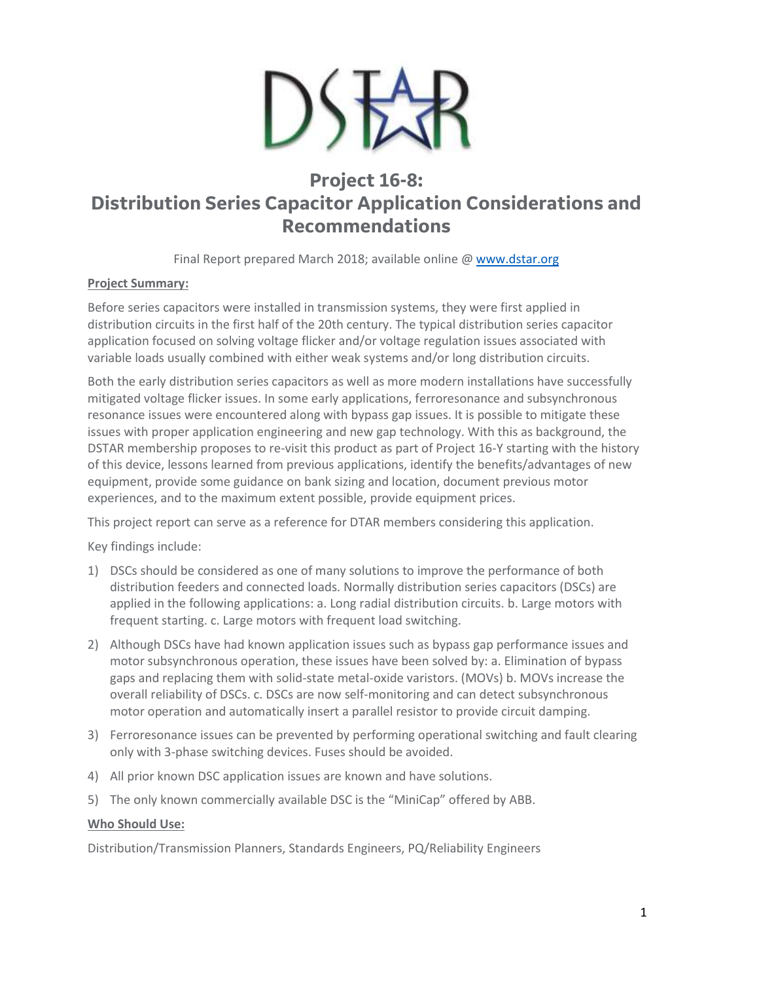

# **Project 16-8: Distribution Series Capacitor Application Considerations and Recommendations**

Final Report prepared March 2018; available online @ [www.dstar.org](http://www.dstar.org/research/project/109/P16-8-distribution-series-capacitor-application-considerations-and-recommendations)

## **Project Summary:**

Before series capacitors were installed in transmission systems, they were first applied in distribution circuits in the first half of the 20th century. The typical distribution series capacitor application focused on solving voltage flicker and/or voltage regulation issues associated with variable loads usually combined with either weak systems and/or long distribution circuits.

Both the early distribution series capacitors as well as more modern installations have successfully mitigated voltage flicker issues. In some early applications, ferroresonance and subsynchronous resonance issues were encountered along with bypass gap issues. It is possible to mitigate these issues with proper application engineering and new gap technology. With this as background, the DSTAR membership proposes to re-visit this product as part of Project 16-Y starting with the history of this device, lessons learned from previous applications, identify the benefits/advantages of new equipment, provide some guidance on bank sizing and location, document previous motor experiences, and to the maximum extent possible, provide equipment prices.

This project report can serve as a reference for DTAR members considering this application.

Key findings include:

- 1) DSCs should be considered as one of many solutions to improve the performance of both distribution feeders and connected loads. Normally distribution series capacitors (DSCs) are applied in the following applications: a. Long radial distribution circuits. b. Large motors with frequent starting. c. Large motors with frequent load switching.
- 2) Although DSCs have had known application issues such as bypass gap performance issues and motor subsynchronous operation, these issues have been solved by: a. Elimination of bypass gaps and replacing them with solid-state metal-oxide varistors. (MOVs) b. MOVs increase the overall reliability of DSCs. c. DSCs are now self-monitoring and can detect subsynchronous motor operation and automatically insert a parallel resistor to provide circuit damping.
- 3) Ferroresonance issues can be prevented by performing operational switching and fault clearing only with 3-phase switching devices. Fuses should be avoided.
- 4) All prior known DSC application issues are known and have solutions.
- 5) The only known commercially available DSC is the "MiniCap" offered by ABB.

## **Who Should Use:**

Distribution/Transmission Planners, Standards Engineers, PQ/Reliability Engineers